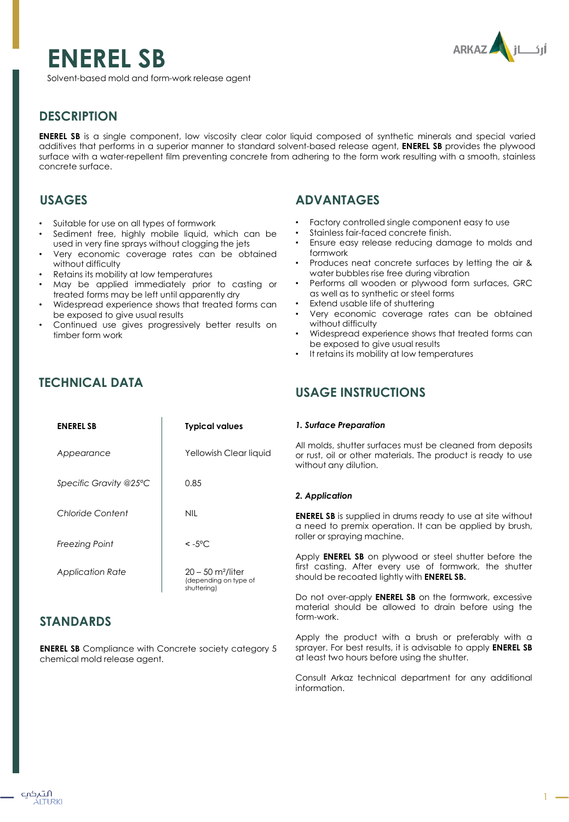# **ENEREL SB**



Solvent-based mold and form-work release agent

# **DESCRIPTION**

**ENEREL SB** is a single component, low viscosity clear color liquid composed of synthetic minerals and special varied additives that performs in a superior manner to standard solvent-based release agent, **ENEREL SB** provides the plywood surface with a water-repellent film preventing concrete from adhering to the form work resulting with a smooth, stainless concrete surface.

## **USAGES**

- Suitable for use on all types of formwork
- Sediment free, highly mobile liquid, which can be used in very fine sprays without clogging the jets
- Very economic coverage rates can be obtained without difficulty
- Retains its mobility at low temperatures
- May be applied immediately prior to casting or treated forms may be left until apparently dry
- Widespread experience shows that treated forms can be exposed to give usual results
- Continued use gives progressively better results on timber form work

**ENEREL SB Typical values**

Yellowish Clear liquid

0.85

# **TECHNICAL DATA**

*Appearance*

*Specific Gravity @25ºC*

## **ADVANTAGES**

- Factory controlled single component easy to use
- Stainless fair-faced concrete finish.
- Ensure easy release reducing damage to molds and formwork
- Produces neat concrete surfaces by letting the air & water bubbles rise free during vibration
- Performs all wooden or plywood form surfaces, GRC as well as to synthetic or steel forms
- Extend usable life of shuttering
- Very economic coverage rates can be obtained without difficulty
- Widespread experience shows that treated forms can be exposed to give usual results
- It retains its mobility at low temperatures

### **USAGE INSTRUCTIONS**

#### *1. Surface Preparation*

All molds, shutter surfaces must be cleaned from deposits or rust, oil or other materials. The product is ready to use without any dilution.

#### *2. Application*

**ENEREL SB** is supplied in drums ready to use at site without a need to premix operation. It can be applied by brush, roller or spraying machine.

Apply **ENEREL SB** on plywood or steel shutter before the first casting. After every use of formwork, the shutter should be recoated lightly with **ENEREL SB.**

Do not over-apply **ENEREL SB** on the formwork, excessive material should be allowed to drain before using the form-work.

Apply the product with a brush or preferably with a sprayer. For best results, it is advisable to apply **ENEREL SB** at least two hours before using the shutter.

Consult Arkaz technical department for any additional information.

| Chloride Content      | NII                                                                     |
|-----------------------|-------------------------------------------------------------------------|
| <b>Freezing Point</b> | $< -5^{\circ}C$                                                         |
| Application Rate      | $20 - 50$ m <sup>2</sup> /liter<br>(depending on type of<br>shutterinal |

### **STANDARDS**

**ENEREL SB** Compliance with Concrete society category 5 chemical mold release agent.